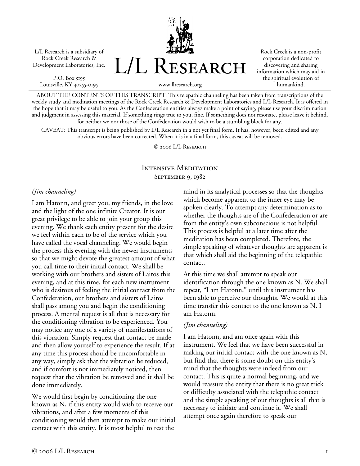L/L Research is a subsidiary of Rock Creek Research & Development Laboratories, Inc.

P.O. Box 5195 Louisville, KY 40255-0195 L/L Research

Rock Creek is a non-profit corporation dedicated to discovering and sharing information which may aid in the spiritual evolution of humankind.

www.llresearch.org

ABOUT THE CONTENTS OF THIS TRANSCRIPT: This telepathic channeling has been taken from transcriptions of the weekly study and meditation meetings of the Rock Creek Research & Development Laboratories and L/L Research. It is offered in the hope that it may be useful to you. As the Confederation entities always make a point of saying, please use your discrimination and judgment in assessing this material. If something rings true to you, fine. If something does not resonate, please leave it behind, for neither we nor those of the Confederation would wish to be a stumbling block for any.

CAVEAT: This transcript is being published by L/L Research in a not yet final form. It has, however, been edited and any obvious errors have been corrected. When it is in a final form, this caveat will be removed.

© 2006 L/L Research

### Intensive Meditation September 9, 1982

#### *(Jim channeling)*

I am Hatonn, and greet you, my friends, in the love and the light of the one infinite Creator. It is our great privilege to be able to join your group this evening. We thank each entity present for the desire we feel within each to be of the service which you have called the vocal channeling. We would begin the process this evening with the newer instruments so that we might devote the greatest amount of what you call time to their initial contact. We shall be working with our brothers and sisters of Laitos this evening, and at this time, for each new instrument who is desirous of feeling the initial contact from the Confederation, our brothers and sisters of Laitos shall pass among you and begin the conditioning process. A mental request is all that is necessary for the conditioning vibration to be experienced. You may notice any one of a variety of manifestations of this vibration. Simply request that contact be made and then allow yourself to experience the result. If at any time this process should be uncomfortable in any way, simply ask that the vibration be reduced, and if comfort is not immediately noticed, then request that the vibration be removed and it shall be done immediately.

We would first begin by conditioning the one known as N, if this entity would wish to receive our vibrations, and after a few moments of this conditioning would then attempt to make our initial contact with this entity. It is most helpful to rest the

mind in its analytical processes so that the thoughts which become apparent to the inner eye may be spoken clearly. To attempt any determination as to whether the thoughts are of the Confederation or are from the entity's own subconscious is not helpful. This process is helpful at a later time after the meditation has been completed. Therefore, the simple speaking of whatever thoughts are apparent is that which shall aid the beginning of the telepathic contact.

At this time we shall attempt to speak our identification through the one known as N. We shall repeat, "I am Hatonn," until this instrument has been able to perceive our thoughts. We would at this time transfer this contact to the one known as N. I am Hatonn.

#### *(Jim channeling)*

I am Hatonn, and am once again with this instrument. We feel that we have been successful in making our initial contact with the one known as N, but find that there is some doubt on this entity's mind that the thoughts were indeed from our contact. This is quite a normal beginning, and we would reassure the entity that there is no great trick or difficulty associated with the telepathic contact and the simple speaking of our thoughts is all that is necessary to initiate and continue it. We shall attempt once again therefore to speak our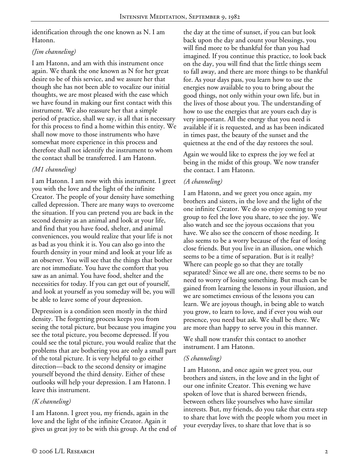identification through the one known as N. I am Hatonn.

## *(Jim channeling)*

I am Hatonn, and am with this instrument once again. We thank the one known as N for her great desire to be of this service, and we assure her that though she has not been able to vocalize our initial thoughts, we are most pleased with the ease which we have found in making our first contact with this instrument. We also reassure her that a simple period of practice, shall we say, is all that is necessary for this process to find a home within this entity. We shall now move to those instruments who have somewhat more experience in this process and therefore shall not identify the instrument to whom the contact shall be transferred. I am Hatonn.

# *(M1 channeling)*

I am Hatonn. I am now with this instrument. I greet you with the love and the light of the infinite Creator. The people of your density have something called depression. There are many ways to overcome the situation. If you can pretend you are back in the second density as an animal and look at your life, and find that you have food, shelter, and animal conveniences, you would realize that your life is not as bad as you think it is. You can also go into the fourth density in your mind and look at your life as an observer. You will see that the things that bother are not immediate. You have the comfort that you saw as an animal. You have food, shelter and the necessities for today. If you can get out of yourself, and look at yourself as you someday will be, you will be able to leave some of your depression.

Depression is a condition seen mostly in the third density. The forgetting process keeps you from seeing the total picture, but because you imagine you see the total picture, you become depressed. If you could see the total picture, you would realize that the problems that are bothering you are only a small part of the total picture. It is very helpful to go either direction—back to the second density or imagine yourself beyond the third density. Either of these outlooks will help your depression. I am Hatonn. I leave this instrument.

# *(K channeling)*

I am Hatonn. I greet you, my friends, again in the love and the light of the infinite Creator. Again it gives us great joy to be with this group. At the end of the day at the time of sunset, if you can but look back upon the day and count your blessings, you will find more to be thankful for than you had imagined. If you continue this practice, to look back on the day, you will find that the little things seem to fall away, and there are more things to be thankful for. As your days pass, you learn how to use the energies now available to you to bring about the good things, not only within your own life, but in the lives of those about you. The understanding of how to use the energies that are yours each day is very important. All the energy that you need is available if it is requested, and as has been indicated in times past, the beauty of the sunset and the quietness at the end of the day restores the soul.

Again we would like to express the joy we feel at being in the midst of this group. We now transfer the contact. I am Hatonn.

# *(A channeling)*

I am Hatonn, and we greet you once again, my brothers and sisters, in the love and the light of the one infinite Creator. We do so enjoy coming to your group to feel the love you share, to see the joy. We also watch and see the joyous occasions that you have. We also see the concern of those needing. It also seems to be a worry because of the fear of losing close friends. But you live in an illusion, one which seems to be a time of separation. But is it really? Where can people go so that they are totally separated? Since we all are one, there seems to be no need to worry of losing something. But much can be gained from learning the lessons in your illusion, and we are sometimes envious of the lessons you can learn. We are joyous though, in being able to watch you grow, to learn to love, and if ever you wish our presence, you need but ask. We shall be there. We are more than happy to serve you in this manner.

We shall now transfer this contact to another instrument. I am Hatonn.

## *(S channeling)*

I am Hatonn, and once again we greet you, our brothers and sisters, in the love and in the light of our one infinite Creator. This evening we have spoken of love that is shared between friends, between others like yourselves who have similar interests. But, my friends, do you take that extra step to share that love with the people whom you meet in your everyday lives, to share that love that is so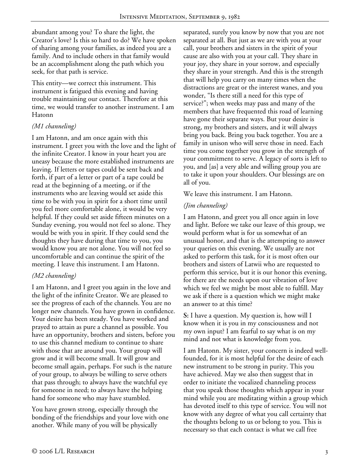abundant among you? To share the light, the Creator's love? Is this so hard to do? We have spoken of sharing among your families, as indeed you are a family. And to include others in that family would be an accomplishment along the path which you seek, for that path is service.

This entity—we correct this instrument. This instrument is fatigued this evening and having trouble maintaining our contact. Therefore at this time, we would transfer to another instrument. I am Hatonn

### *(M1 channeling)*

I am Hatonn, and am once again with this instrument. I greet you with the love and the light of the infinite Creator. I know in your heart you are uneasy because the more established instruments are leaving. If letters or tapes could be sent back and forth, if part of a letter or part of a tape could be read at the beginning of a meeting, or if the instruments who are leaving would set aside this time to be with you in spirit for a short time until you feel more comfortable alone, it would be very helpful. If they could set aside fifteen minutes on a Sunday evening, you would not feel so alone. They would be with you in spirit. If they could send the thoughts they have during that time to you, you would know you are not alone. You will not feel so uncomfortable and can continue the spirit of the meeting. I leave this instrument. I am Hatonn.

## *(M2 channeling)*

I am Hatonn, and I greet you again in the love and the light of the infinite Creator. We are pleased to see the progress of each of the channels. You are no longer new channels. You have grown in confidence. Your desire has been steady. You have worked and prayed to attain as pure a channel as possible. You have an opportunity, brothers and sisters, before you to use this channel medium to continue to share with those that are around you. Your group will grow and it will become small. It will grow and become small again, perhaps. For such is the nature of your group, to always be willing to serve others that pass through; to always have the watchful eye for someone in need; to always have the helping hand for someone who may have stumbled.

You have grown strong, especially through the bonding of the friendships and your love with one another. While many of you will be physically

separated, surely you know by now that you are not separated at all. But just as we are with you at your call, your brothers and sisters in the spirit of your cause are also with you at your call. They share in your joy, they share in your sorrow, and especially they share in your strength. And this is the strength that will help you carry on many times when the distractions are great or the interest wanes, and you wonder, "Is there still a need for this type of service?"; when weeks may pass and many of the members that have frequented this road of learning have gone their separate ways. But your desire is strong, my brothers and sisters, and it will always bring you back. Bring you back together. You are a family in unison who will serve those in need. Each time you come together you grow in the strength of your commitment to serve. A legacy of sorts is left to you, and [as] a very able and willing group you are to take it upon your shoulders. Our blessings are on all of you.

We leave this instrument. I am Hatonn.

### *(Jim channeling)*

I am Hatonn, and greet you all once again in love and light. Before we take our leave of this group, we would perform what is for us somewhat of an unusual honor, and that is the attempting to answer your queries on this evening. We usually are not asked to perform this task, for it is most often our brothers and sisters of Latwii who are requested to perform this service, but it is our honor this evening, for there are the needs upon our vibration of love which we feel we might be most able to fulfill. May we ask if there is a question which we might make an answer to at this time?

**S:** I have a question. My question is, how will I know when it is you in my consciousness and not my own input? I am fearful to say what is on my mind and not what is knowledge from you.

I am Hatonn. My sister, your concern is indeed wellfounded, for it is most helpful for the desire of each new instrument to be strong in purity. This you have achieved. May we also then suggest that in order to initiate the vocalized channeling process that you speak those thoughts which appear in your mind while you are meditating within a group which has devoted itself to this type of service. You will not know with any degree of what you call certainty that the thoughts belong to us or belong to you. This is necessary so that each contact is what we call free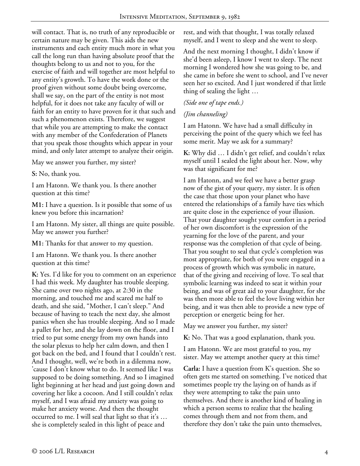will contact. That is, no truth of any reproducible or certain nature may be given. This aids the new instruments and each entity much more in what you call the long run than having absolute proof that the thoughts belong to us and not to you, for the exercise of faith and will together are most helpful to any entity's growth. To have the work done or the proof given without some doubt being overcome, shall we say, on the part of the entity is not most helpful, for it does not take any faculty of will or faith for an entity to have proven for it that such and such a phenomenon exists. Therefore, we suggest that while you are attempting to make the contact with any member of the Confederation of Planets that you speak those thoughts which appear in your mind, and only later attempt to analyze their origin.

May we answer you further, my sister?

**S:** No, thank you.

I am Hatonn. We thank you. Is there another question at this time?

**M1:** I have a question. Is it possible that some of us knew you before this incarnation?

I am Hatonn. My sister, all things are quite possible. May we answer you further?

**M1:** Thanks for that answer to my question.

I am Hatonn. We thank you. Is there another question at this time?

**K:** Yes. I'd like for you to comment on an experience I had this week. My daughter has trouble sleeping. She came over two nights ago, at 2:30 in the morning, and touched me and scared me half to death, and she said, "Mother, I can't sleep." And because of having to teach the next day, she almost panics when she has trouble sleeping. And so I made a pallet for her, and she lay down on the floor, and I tried to put some energy from my own hands into the solar plexus to help her calm down, and then I got back on the bed, and I found that I couldn't rest. And I thought, well, we're both in a dilemma now, 'cause I don't know what to do. It seemed like I was supposed to be doing something. And so I imagined light beginning at her head and just going down and covering her like a cocoon. And I still couldn't relax myself, and I was afraid my anxiety was going to make her anxiety worse. And then the thought occurred to me. I will seal that light so that it's … she is completely sealed in this light of peace and

rest, and with that thought, I was totally relaxed myself, and I went to sleep and she went to sleep.

And the next morning I thought, I didn't know if she'd been asleep, I know I went to sleep. The next morning I wondered how she was going to be, and she came in before she went to school, and I've never seen her so excited. And I just wondered if that little thing of sealing the light …

#### *(Side one of tape ends.)*

#### *(Jim channeling)*

I am Hatonn. We have had a small difficulty in perceiving the point of the query which we feel has some merit. May we ask for a summary?

**K:** Why did … I didn't get relief, and couldn't relax myself until I sealed the light about her. Now, why was that significant for me?

I am Hatonn, and we feel we have a better grasp now of the gist of your query, my sister. It is often the case that those upon your planet who have entered the relationships of a family have ties which are quite close in the experience of your illusion. That your daughter sought your comfort in a period of her own discomfort is the expression of the yearning for the love of the parent, and your response was the completion of that cycle of being. That you sought to seal that cycle's completion was most appropriate, for both of you were engaged in a process of growth which was symbolic in nature, that of the giving and receiving of love. To seal that symbolic learning was indeed to seat it within your being, and was of great aid to your daughter, for she was then more able to feel the love living within her being, and it was then able to provide a new type of perception or energetic being for her.

May we answer you further, my sister?

**K:** No. That was a good explanation, thank you.

I am Hatonn. We are most grateful to you, my sister. May we attempt another query at this time?

**Carla:** I have a question from K's question. She so often gets me started on something. I've noticed that sometimes people try the laying on of hands as if they were attempting to take the pain unto themselves. And there is another kind of healing in which a person seems to realize that the healing comes through them and not from them, and therefore they don't take the pain unto themselves,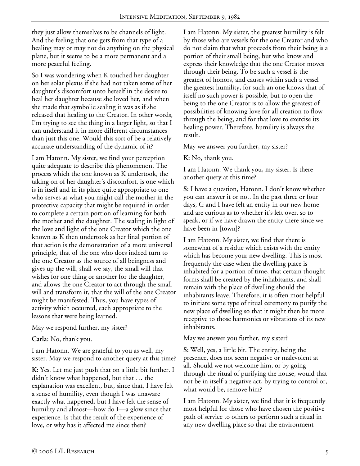they just allow themselves to be channels of light. And the feeling that one gets from that type of a healing may or may not do anything on the physical plane, but it seems to be a more permanent and a more peaceful feeling.

So I was wondering when K touched her daughter on her solar plexus if she had not taken some of her daughter's discomfort unto herself in the desire to heal her daughter because she loved her, and when she made that symbolic sealing it was as if she released that healing to the Creator. In other words, I'm trying to see the thing in a larger light, so that I can understand it in more different circumstances than just this one. Would this sort of be a relatively accurate understanding of the dynamic of it?

I am Hatonn. My sister, we find your perception quite adequate to describe this phenomenon. The process which the one known as K undertook, the taking on of her daughter's discomfort, is one which is in itself and in its place quite appropriate to one who serves as what you might call the mother in the protective capacity that might be required in order to complete a certain portion of learning for both the mother and the daughter. The sealing in light of the love and light of the one Creator which the one known as K then undertook as her final portion of that action is the demonstration of a more universal principle, that of the one who does indeed turn to the one Creator as the source of all beingness and gives up the will, shall we say, the small will that wishes for one thing or another for the daughter, and allows the one Creator to act through the small will and transform it, that the will of the one Creator might be manifested. Thus, you have types of activity which occurred, each appropriate to the lessons that were being learned.

May we respond further, my sister?

**Carla:** No, thank you.

I am Hatonn. We are grateful to you as well, my sister. May we respond to another query at this time?

**K:** Yes. Let me just push that on a little bit further. I didn't know what happened, but that … the explanation was excellent, but, since that, I have felt a sense of humility, even though I was unaware exactly what happened, but I have felt the sense of humility and almost—how do I—a glow since that experience. Is that the result of the experience of love, or why has it affected me since then?

I am Hatonn. My sister, the greatest humility is felt by those who are vessels for the one Creator and who do not claim that what proceeds from their being is a portion of their small being, but who know and express their knowledge that the one Creator moves through their being. To be such a vessel is the greatest of honors, and causes within such a vessel the greatest humility, for such an one knows that of itself no such power is possible, but to open the being to the one Creator is to allow the greatest of possibilities of knowing love for all creation to flow through the being, and for that love to exercise its healing power. Therefore, humility is always the result.

May we answer you further, my sister?

**K:** No, thank you.

I am Hatonn. We thank you, my sister. Is there another query at this time?

**S:** I have a question, Hatonn. I don't know whether you can answer it or not. In the past three or four days, G and I have felt an entity in our new home and are curious as to whether it's left over, so to speak, or if we have drawn the entity there since we have been in [town]?

I am Hatonn. My sister, we find that there is somewhat of a residue which exists with the entity which has become your new dwelling. This is most frequently the case when the dwelling place is inhabited for a portion of time, that certain thought forms shall be created by the inhabitants, and shall remain with the place of dwelling should the inhabitants leave. Therefore, it is often most helpful to initiate some type of ritual ceremony to purify the new place of dwelling so that it might then be more receptive to those harmonics or vibrations of its new inhabitants.

May we answer you further, my sister?

**S:** Well, yes, a little bit. The entity, being the presence, does not seem negative or malevolent at all. Should we not welcome him, or by going through the ritual of purifying the house, would that not be in itself a negative act, by trying to control or, what would be, remove him?

I am Hatonn. My sister, we find that it is frequently most helpful for those who have chosen the positive path of service to others to perform such a ritual in any new dwelling place so that the environment